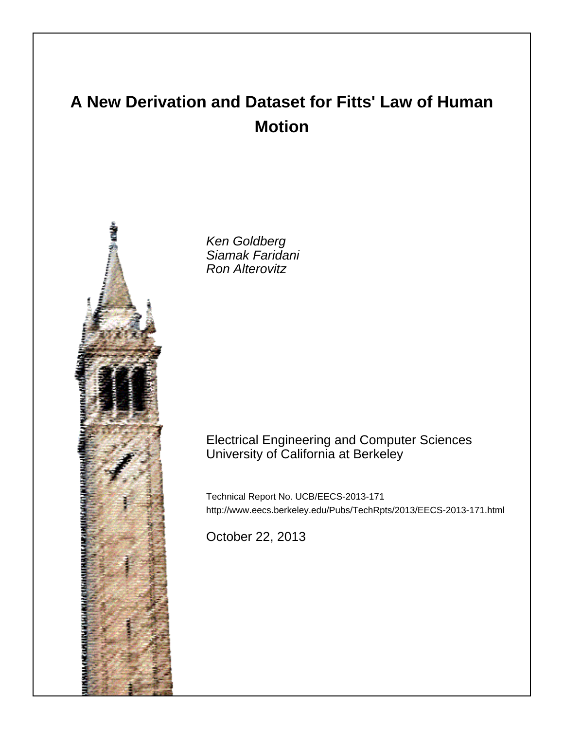# **A New Derivation and Dataset for Fitts' Law of Human Motion**



Ken Goldberg Siamak Faridani Ron Alterovitz

# Electrical Engineering and Computer Sciences University of California at Berkeley

Technical Report No. UCB/EECS-2013-171 http://www.eecs.berkeley.edu/Pubs/TechRpts/2013/EECS-2013-171.html

October 22, 2013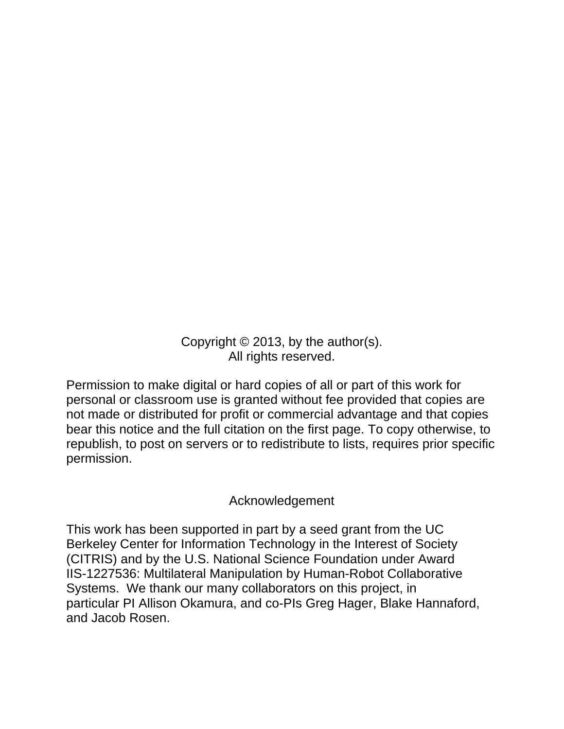Copyright © 2013, by the author(s). All rights reserved.

Permission to make digital or hard copies of all or part of this work for personal or classroom use is granted without fee provided that copies are not made or distributed for profit or commercial advantage and that copies bear this notice and the full citation on the first page. To copy otherwise, to republish, to post on servers or to redistribute to lists, requires prior specific permission.

# Acknowledgement

This work has been supported in part by a seed grant from the UC Berkeley Center for Information Technology in the Interest of Society (CITRIS) and by the U.S. National Science Foundation under Award IIS-1227536: Multilateral Manipulation by Human-Robot Collaborative Systems. We thank our many collaborators on this project, in particular PI Allison Okamura, and co-PIs Greg Hager, Blake Hannaford, and Jacob Rosen.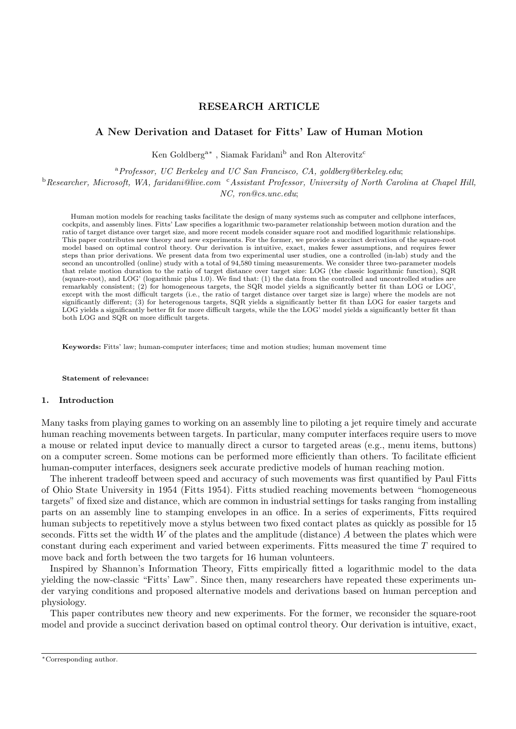# RESEARCH ARTICLE

# A New Derivation and Dataset for Fitts' Law of Human Motion

Ken Goldberg<sup>a\*</sup>, Siamak Faridani<sup>b</sup> and Ron Alterovitz<sup>c</sup>

<sup>a</sup>Professor, UC Berkeley and UC San Francisco, CA, goldberg@berkeley.edu;

 $b$ Researcher, Microsoft, WA, faridani@live.com  $c$ Assistant Professor, University of North Carolina at Chapel Hill,

NC, ron@cs.unc.edu;

Human motion models for reaching tasks facilitate the design of many systems such as computer and cellphone interfaces, cockpits, and assembly lines. Fitts' Law specifies a logarithmic two-parameter relationship between motion duration and the ratio of target distance over target size, and more recent models consider square root and modified logarithmic relationships. This paper contributes new theory and new experiments. For the former, we provide a succinct derivation of the square-root model based on optimal control theory. Our derivation is intuitive, exact, makes fewer assumptions, and requires fewer steps than prior derivations. We present data from two experimental user studies, one a controlled (in-lab) study and the second an uncontrolled (online) study with a total of 94,580 timing measurements. We consider three two-parameter models that relate motion duration to the ratio of target distance over target size: LOG (the classic logarithmic function), SQR (square-root), and LOG' (logarithmic plus 1.0). We find that: (1) the data from the controlled and uncontrolled studies are remarkably consistent; (2) for homogeneous targets, the SQR model yields a significantly better fit than LOG or LOG', except with the most difficult targets (i.e., the ratio of target distance over target size is large) where the models are not significantly different; (3) for heterogenous targets, SQR yields a significantly better fit than LOG for easier targets and LOG yields a significantly better fit for more difficult targets, while the the LOG' model yields a significantly better fit than both LOG and SQR on more difficult targets.

Keywords: Fitts' law; human-computer interfaces; time and motion studies; human movement time

#### Statement of relevance:

#### 1. Introduction

Many tasks from playing games to working on an assembly line to piloting a jet require timely and accurate human reaching movements between targets. In particular, many computer interfaces require users to move a mouse or related input device to manually direct a cursor to targeted areas (e.g., menu items, buttons) on a computer screen. Some motions can be performed more efficiently than others. To facilitate efficient human-computer interfaces, designers seek accurate predictive models of human reaching motion.

The inherent tradeoff between speed and accuracy of such movements was first quantified by Paul Fitts of Ohio State University in 1954 (Fitts 1954). Fitts studied reaching movements between "homogeneous targets" of fixed size and distance, which are common in industrial settings for tasks ranging from installing parts on an assembly line to stamping envelopes in an office. In a series of experiments, Fitts required human subjects to repetitively move a stylus between two fixed contact plates as quickly as possible for 15 seconds. Fitts set the width  $W$  of the plates and the amplitude (distance)  $A$  between the plates which were constant during each experiment and varied between experiments. Fitts measured the time T required to move back and forth between the two targets for 16 human volunteers.

Inspired by Shannon's Information Theory, Fitts empirically fitted a logarithmic model to the data yielding the now-classic "Fitts' Law". Since then, many researchers have repeated these experiments under varying conditions and proposed alternative models and derivations based on human perception and physiology.

This paper contributes new theory and new experiments. For the former, we reconsider the square-root model and provide a succinct derivation based on optimal control theory. Our derivation is intuitive, exact,

<sup>∗</sup>Corresponding author.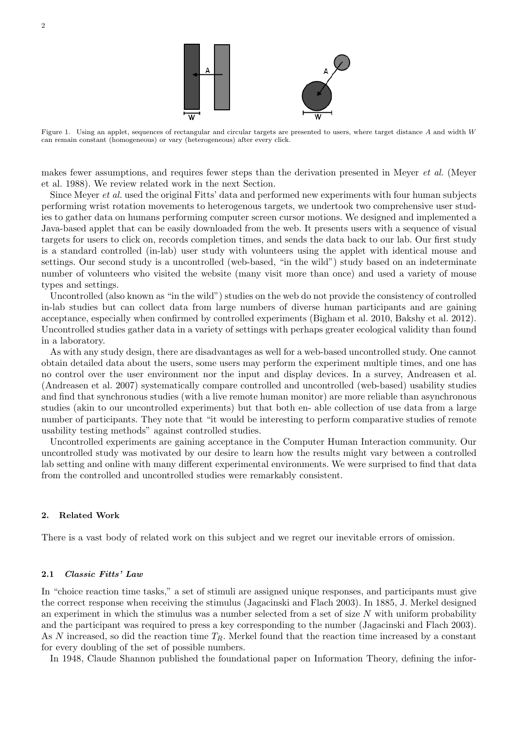

Figure 1. Using an applet, sequences of rectangular and circular targets are presented to users, where target distance A and width W can remain constant (homogeneous) or vary (heterogeneous) after every click.

makes fewer assumptions, and requires fewer steps than the derivation presented in Meyer et al. (Meyer et al. 1988). We review related work in the next Section.

Since Meyer et al. used the original Fitts' data and performed new experiments with four human subjects performing wrist rotation movements to heterogenous targets, we undertook two comprehensive user studies to gather data on humans performing computer screen cursor motions. We designed and implemented a Java-based applet that can be easily downloaded from the web. It presents users with a sequence of visual targets for users to click on, records completion times, and sends the data back to our lab. Our first study is a standard controlled (in-lab) user study with volunteers using the applet with identical mouse and settings. Our second study is a uncontrolled (web-based, "in the wild") study based on an indeterminate number of volunteers who visited the website (many visit more than once) and used a variety of mouse types and settings.

Uncontrolled (also known as "in the wild") studies on the web do not provide the consistency of controlled in-lab studies but can collect data from large numbers of diverse human participants and are gaining acceptance, especially when confirmed by controlled experiments (Bigham et al. 2010, Bakshy et al. 2012). Uncontrolled studies gather data in a variety of settings with perhaps greater ecological validity than found in a laboratory.

As with any study design, there are disadvantages as well for a web-based uncontrolled study. One cannot obtain detailed data about the users, some users may perform the experiment multiple times, and one has no control over the user environment nor the input and display devices. In a survey, Andreasen et al. (Andreasen et al. 2007) systematically compare controlled and uncontrolled (web-based) usability studies and find that synchronous studies (with a live remote human monitor) are more reliable than asynchronous studies (akin to our uncontrolled experiments) but that both en- able collection of use data from a large number of participants. They note that "it would be interesting to perform comparative studies of remote usability testing methods" against controlled studies.

Uncontrolled experiments are gaining acceptance in the Computer Human Interaction community. Our uncontrolled study was motivated by our desire to learn how the results might vary between a controlled lab setting and online with many different experimental environments. We were surprised to find that data from the controlled and uncontrolled studies were remarkably consistent.

# 2. Related Work

There is a vast body of related work on this subject and we regret our inevitable errors of omission.

# 2.1 Classic Fitts' Law

In "choice reaction time tasks," a set of stimuli are assigned unique responses, and participants must give the correct response when receiving the stimulus (Jagacinski and Flach 2003). In 1885, J. Merkel designed an experiment in which the stimulus was a number selected from a set of size  $N$  with uniform probability and the participant was required to press a key corresponding to the number (Jagacinski and Flach 2003). As N increased, so did the reaction time  $T_R$ . Merkel found that the reaction time increased by a constant for every doubling of the set of possible numbers.

In 1948, Claude Shannon published the foundational paper on Information Theory, defining the infor-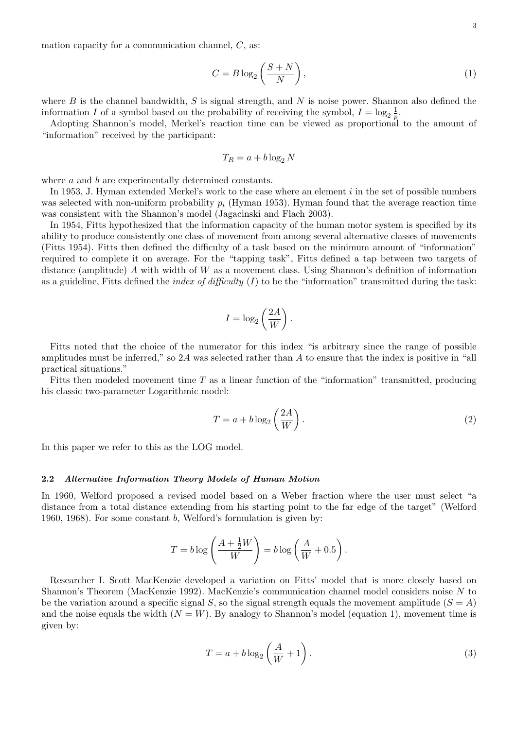mation capacity for a communication channel,  $C$ , as:

$$
C = B \log_2 \left( \frac{S + N}{N} \right),\tag{1}
$$

where  $B$  is the channel bandwidth,  $S$  is signal strength, and  $N$  is noise power. Shannon also defined the information I of a symbol based on the probability of receiving the symbol,  $I = \log_2 \frac{1}{p}$  $\frac{1}{p}$  .

Adopting Shannon's model, Merkel's reaction time can be viewed as proportional to the amount of "information" received by the participant:

$$
T_R = a + b \log_2 N
$$

where a and b are experimentally determined constants.

In 1953, J. Hyman extended Merkel's work to the case where an element  $i$  in the set of possible numbers was selected with non-uniform probability  $p_i$  (Hyman 1953). Hyman found that the average reaction time was consistent with the Shannon's model (Jagacinski and Flach 2003).

In 1954, Fitts hypothesized that the information capacity of the human motor system is specified by its ability to produce consistently one class of movement from among several alternative classes of movements (Fitts 1954). Fitts then defined the difficulty of a task based on the minimum amount of "information" required to complete it on average. For the "tapping task", Fitts defined a tap between two targets of distance (amplitude)  $A$  with width of  $W$  as a movement class. Using Shannon's definition of information as a guideline, Fitts defined the *index of difficulty* (I) to be the "information" transmitted during the task:

$$
I = \log_2\left(\frac{2A}{W}\right).
$$

Fitts noted that the choice of the numerator for this index "is arbitrary since the range of possible amplitudes must be inferred," so  $2A$  was selected rather than A to ensure that the index is positive in "all practical situations."

Fitts then modeled movement time  $T$  as a linear function of the "information" transmitted, producing his classic two-parameter Logarithmic model:

$$
T = a + b \log_2 \left(\frac{2A}{W}\right). \tag{2}
$$

In this paper we refer to this as the LOG model.

# 2.2 Alternative Information Theory Models of Human Motion

In 1960, Welford proposed a revised model based on a Weber fraction where the user must select "a distance from a total distance extending from his starting point to the far edge of the target" (Welford 1960, 1968). For some constant b, Welford's formulation is given by:

$$
T = b \log \left( \frac{A + \frac{1}{2}W}{W} \right) = b \log \left( \frac{A}{W} + 0.5 \right).
$$

Researcher I. Scott MacKenzie developed a variation on Fitts' model that is more closely based on Shannon's Theorem (MacKenzie 1992). MacKenzie's communication channel model considers noise N to be the variation around a specific signal S, so the signal strength equals the movement amplitude  $(S = A)$ and the noise equals the width  $(N = W)$ . By analogy to Shannon's model (equation 1), movement time is given by:

$$
T = a + b \log_2 \left(\frac{A}{W} + 1\right). \tag{3}
$$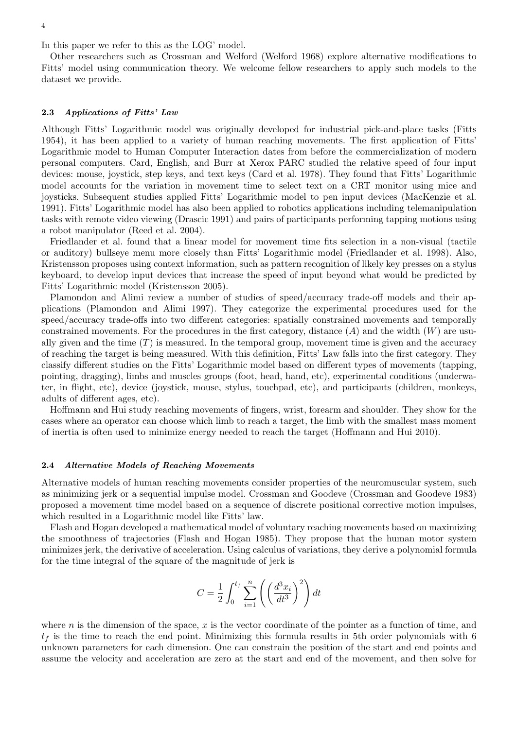In this paper we refer to this as the LOG' model.

Other researchers such as Crossman and Welford (Welford 1968) explore alternative modifications to Fitts' model using communication theory. We welcome fellow researchers to apply such models to the dataset we provide.

#### 2.3 Applications of Fitts' Law

Although Fitts' Logarithmic model was originally developed for industrial pick-and-place tasks (Fitts 1954), it has been applied to a variety of human reaching movements. The first application of Fitts' Logarithmic model to Human Computer Interaction dates from before the commercialization of modern personal computers. Card, English, and Burr at Xerox PARC studied the relative speed of four input devices: mouse, joystick, step keys, and text keys (Card et al. 1978). They found that Fitts' Logarithmic model accounts for the variation in movement time to select text on a CRT monitor using mice and joysticks. Subsequent studies applied Fitts' Logarithmic model to pen input devices (MacKenzie et al. 1991). Fitts' Logarithmic model has also been applied to robotics applications including telemanipulation tasks with remote video viewing (Drascic 1991) and pairs of participants performing tapping motions using a robot manipulator (Reed et al. 2004).

Friedlander et al. found that a linear model for movement time fits selection in a non-visual (tactile or auditory) bullseye menu more closely than Fitts' Logarithmic model (Friedlander et al. 1998). Also, Kristensson proposes using context information, such as pattern recognition of likely key presses on a stylus keyboard, to develop input devices that increase the speed of input beyond what would be predicted by Fitts' Logarithmic model (Kristensson 2005).

Plamondon and Alimi review a number of studies of speed/accuracy trade-off models and their applications (Plamondon and Alimi 1997). They categorize the experimental procedures used for the speed/accuracy trade-offs into two different categories: spatially constrained movements and temporally constrained movements. For the procedures in the first category, distance  $(A)$  and the width  $(W)$  are usually given and the time  $(T)$  is measured. In the temporal group, movement time is given and the accuracy of reaching the target is being measured. With this definition, Fitts' Law falls into the first category. They classify different studies on the Fitts' Logarithmic model based on different types of movements (tapping, pointing, dragging), limbs and muscles groups (foot, head, hand, etc), experimental conditions (underwater, in flight, etc), device (joystick, mouse, stylus, touchpad, etc), and participants (children, monkeys, adults of different ages, etc).

Hoffmann and Hui study reaching movements of fingers, wrist, forearm and shoulder. They show for the cases where an operator can choose which limb to reach a target, the limb with the smallest mass moment of inertia is often used to minimize energy needed to reach the target (Hoffmann and Hui 2010).

#### 2.4 Alternative Models of Reaching Movements

Alternative models of human reaching movements consider properties of the neuromuscular system, such as minimizing jerk or a sequential impulse model. Crossman and Goodeve (Crossman and Goodeve 1983) proposed a movement time model based on a sequence of discrete positional corrective motion impulses, which resulted in a Logarithmic model like Fitts' law.

Flash and Hogan developed a mathematical model of voluntary reaching movements based on maximizing the smoothness of trajectories (Flash and Hogan 1985). They propose that the human motor system minimizes jerk, the derivative of acceleration. Using calculus of variations, they derive a polynomial formula for the time integral of the square of the magnitude of jerk is

$$
C = \frac{1}{2} \int_0^{t_f} \sum_{i=1}^n \left( \left( \frac{d^3 x_i}{dt^3} \right)^2 \right) dt
$$

where n is the dimension of the space, x is the vector coordinate of the pointer as a function of time, and  $t_f$  is the time to reach the end point. Minimizing this formula results in 5th order polynomials with 6 unknown parameters for each dimension. One can constrain the position of the start and end points and assume the velocity and acceleration are zero at the start and end of the movement, and then solve for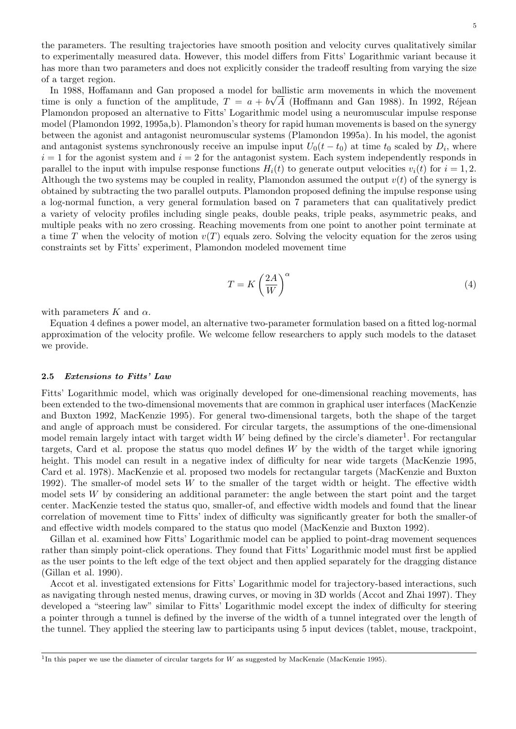5

the parameters. The resulting trajectories have smooth position and velocity curves qualitatively similar to experimentally measured data. However, this model differs from Fitts' Logarithmic variant because it has more than two parameters and does not explicitly consider the tradeoff resulting from varying the size of a target region.

In 1988, Hoffamann and Gan proposed a model for ballistic arm movements in which the movement time is only a function of the amplitude,  $T = a + b\sqrt{A}$  (Hoffmann and Gan 1988). In 1992, Réjean Plamondon proposed an alternative to Fitts' Logarithmic model using a neuromuscular impulse response model (Plamondon 1992, 1995a,b). Plamondon's theory for rapid human movements is based on the synergy between the agonist and antagonist neuromuscular systems (Plamondon 1995a). In his model, the agonist and antagonist systems synchronously receive an impulse input  $U_0(t-t_0)$  at time  $t_0$  scaled by  $D_i$ , where  $i = 1$  for the agonist system and  $i = 2$  for the antagonist system. Each system independently responds in parallel to the input with impulse response functions  $H_i(t)$  to generate output velocities  $v_i(t)$  for  $i = 1, 2$ . Although the two systems may be coupled in reality, Plamondon assumed the output  $v(t)$  of the synergy is obtained by subtracting the two parallel outputs. Plamondon proposed defining the impulse response using a log-normal function, a very general formulation based on 7 parameters that can qualitatively predict a variety of velocity profiles including single peaks, double peaks, triple peaks, asymmetric peaks, and multiple peaks with no zero crossing. Reaching movements from one point to another point terminate at a time T when the velocity of motion  $v(T)$  equals zero. Solving the velocity equation for the zeros using constraints set by Fitts' experiment, Plamondon modeled movement time

$$
T = K \left(\frac{2A}{W}\right)^{\alpha} \tag{4}
$$

with parameters K and  $\alpha$ .

Equation 4 defines a power model, an alternative two-parameter formulation based on a fitted log-normal approximation of the velocity profile. We welcome fellow researchers to apply such models to the dataset we provide.

#### 2.5 Extensions to Fitts' Law

Fitts' Logarithmic model, which was originally developed for one-dimensional reaching movements, has been extended to the two-dimensional movements that are common in graphical user interfaces (MacKenzie and Buxton 1992, MacKenzie 1995). For general two-dimensional targets, both the shape of the target and angle of approach must be considered. For circular targets, the assumptions of the one-dimensional model remain largely intact with target width  $W$  being defined by the circle's diameter<sup>1</sup>. For rectangular targets, Card et al. propose the status quo model defines W by the width of the target while ignoring height. This model can result in a negative index of difficulty for near wide targets (MacKenzie 1995, Card et al. 1978). MacKenzie et al. proposed two models for rectangular targets (MacKenzie and Buxton 1992). The smaller-of model sets W to the smaller of the target width or height. The effective width model sets W by considering an additional parameter: the angle between the start point and the target center. MacKenzie tested the status quo, smaller-of, and effective width models and found that the linear correlation of movement time to Fitts' index of difficulty was significantly greater for both the smaller-of and effective width models compared to the status quo model (MacKenzie and Buxton 1992).

Gillan et al. examined how Fitts' Logarithmic model can be applied to point-drag movement sequences rather than simply point-click operations. They found that Fitts' Logarithmic model must first be applied as the user points to the left edge of the text object and then applied separately for the dragging distance (Gillan et al. 1990).

Accot et al. investigated extensions for Fitts' Logarithmic model for trajectory-based interactions, such as navigating through nested menus, drawing curves, or moving in 3D worlds (Accot and Zhai 1997). They developed a "steering law" similar to Fitts' Logarithmic model except the index of difficulty for steering a pointer through a tunnel is defined by the inverse of the width of a tunnel integrated over the length of the tunnel. They applied the steering law to participants using 5 input devices (tablet, mouse, trackpoint,

<sup>&</sup>lt;sup>1</sup>In this paper we use the diameter of circular targets for W as suggested by MacKenzie (MacKenzie 1995).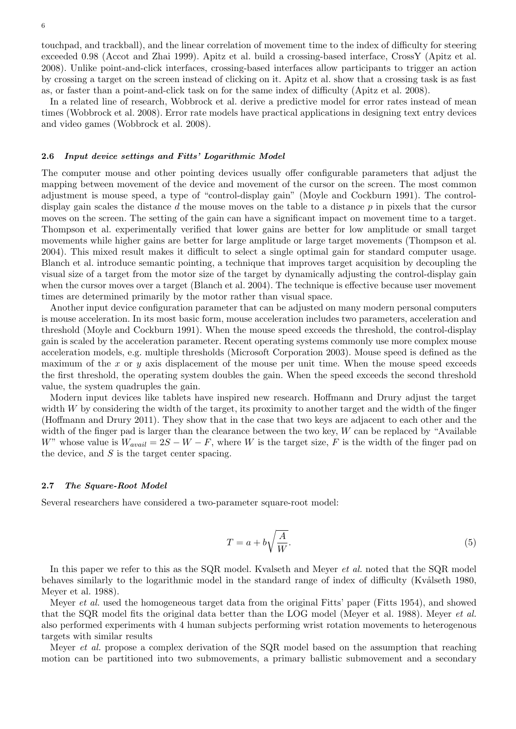touchpad, and trackball), and the linear correlation of movement time to the index of difficulty for steering exceeded 0.98 (Accot and Zhai 1999). Apitz et al. build a crossing-based interface, CrossY (Apitz et al. 2008). Unlike point-and-click interfaces, crossing-based interfaces allow participants to trigger an action by crossing a target on the screen instead of clicking on it. Apitz et al. show that a crossing task is as fast as, or faster than a point-and-click task on for the same index of difficulty (Apitz et al. 2008).

In a related line of research, Wobbrock et al. derive a predictive model for error rates instead of mean times (Wobbrock et al. 2008). Error rate models have practical applications in designing text entry devices and video games (Wobbrock et al. 2008).

#### 2.6 Input device settings and Fitts' Logarithmic Model

The computer mouse and other pointing devices usually offer configurable parameters that adjust the mapping between movement of the device and movement of the cursor on the screen. The most common adjustment is mouse speed, a type of "control-display gain" (Moyle and Cockburn 1991). The controldisplay gain scales the distance d the mouse moves on the table to a distance  $p$  in pixels that the cursor moves on the screen. The setting of the gain can have a significant impact on movement time to a target. Thompson et al. experimentally verified that lower gains are better for low amplitude or small target movements while higher gains are better for large amplitude or large target movements (Thompson et al. 2004). This mixed result makes it difficult to select a single optimal gain for standard computer usage. Blanch et al. introduce semantic pointing, a technique that improves target acquisition by decoupling the visual size of a target from the motor size of the target by dynamically adjusting the control-display gain when the cursor moves over a target (Blanch et al. 2004). The technique is effective because user movement times are determined primarily by the motor rather than visual space.

Another input device configuration parameter that can be adjusted on many modern personal computers is mouse acceleration. In its most basic form, mouse acceleration includes two parameters, acceleration and threshold (Moyle and Cockburn 1991). When the mouse speed exceeds the threshold, the control-display gain is scaled by the acceleration parameter. Recent operating systems commonly use more complex mouse acceleration models, e.g. multiple thresholds (Microsoft Corporation 2003). Mouse speed is defined as the maximum of the x or y axis displacement of the mouse per unit time. When the mouse speed exceeds the first threshold, the operating system doubles the gain. When the speed exceeds the second threshold value, the system quadruples the gain.

Modern input devices like tablets have inspired new research. Hoffmann and Drury adjust the target width  $W$  by considering the width of the target, its proximity to another target and the width of the finger (Hoffmann and Drury 2011). They show that in the case that two keys are adjacent to each other and the width of the finger pad is larger than the clearance between the two key,  $W$  can be replaced by "Available" W" whose value is  $W_{avail} = 2S - W - F$ , where W is the target size, F is the width of the finger pad on the device, and  $S$  is the target center spacing.

# 2.7 The Square-Root Model

Several researchers have considered a two-parameter square-root model:

$$
T = a + b\sqrt{\frac{A}{W}}.\t\t(5)
$$

In this paper we refer to this as the SQR model. Kvalseth and Meyer *et al.* noted that the SQR model behaves similarly to the logarithmic model in the standard range of index of difficulty (Kvålseth 1980, Meyer et al. 1988).

Meyer *et al.* used the homogeneous target data from the original Fitts' paper (Fitts 1954), and showed that the SQR model fits the original data better than the LOG model (Meyer et al. 1988). Meyer et al. also performed experiments with 4 human subjects performing wrist rotation movements to heterogenous targets with similar results

Meyer *et al.* propose a complex derivation of the SQR model based on the assumption that reaching motion can be partitioned into two submovements, a primary ballistic submovement and a secondary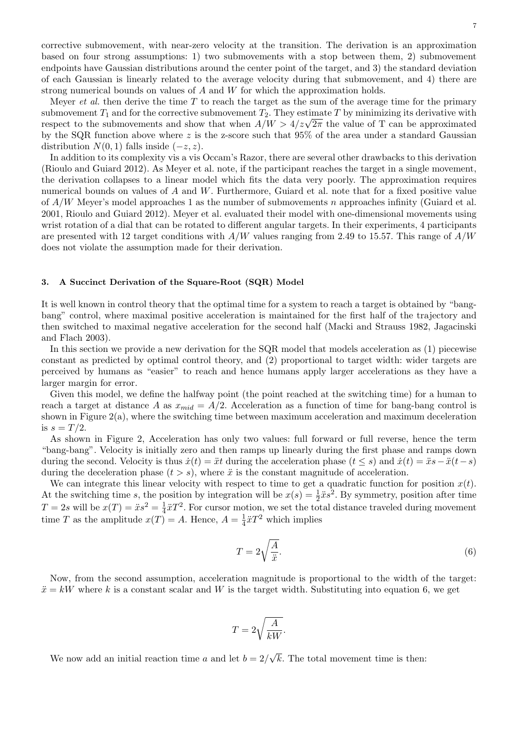corrective submovement, with near-zero velocity at the transition. The derivation is an approximation based on four strong assumptions: 1) two submovements with a stop between them, 2) submovement endpoints have Gaussian distributions around the center point of the target, and 3) the standard deviation of each Gaussian is linearly related to the average velocity during that submovement, and 4) there are strong numerical bounds on values of A and W for which the approximation holds.

Meyer *et al.* then derive the time T to reach the target as the sum of the average time for the primary submovement  $T_1$  and for the corrective submovement  $T_2$ . They estimate T by minimizing its derivative with submovement  $I_1$  and for the corrective submovement  $I_2$ . I hey estimate  $I$  by minimizing its derivative with respect to the submovements and show that when  $A/W > 4/z\sqrt{2\pi}$  the value of T can be approximated by the SQR function above where z is the z-score such that  $95\%$  of the area under a standard Gaussian distribution  $N(0, 1)$  falls inside  $(-z, z)$ .

In addition to its complexity vis a vis Occam's Razor, there are several other drawbacks to this derivation (Rioulo and Guiard 2012). As Meyer et al. note, if the participant reaches the target in a single movement, the derivation collapses to a linear model which fits the data very poorly. The approximation requires numerical bounds on values of A and W. Furthermore, Guiard et al. note that for a fixed positive value of  $A/W$  Meyer's model approaches 1 as the number of submovements n approaches infinity (Guiard et al. 2001, Rioulo and Guiard 2012). Meyer et al. evaluated their model with one-dimensional movements using wrist rotation of a dial that can be rotated to different angular targets. In their experiments, 4 participants are presented with 12 target conditions with  $A/W$  values ranging from 2.49 to 15.57. This range of  $A/W$ does not violate the assumption made for their derivation.

# 3. A Succinct Derivation of the Square-Root (SQR) Model

It is well known in control theory that the optimal time for a system to reach a target is obtained by "bangbang" control, where maximal positive acceleration is maintained for the first half of the trajectory and then switched to maximal negative acceleration for the second half (Macki and Strauss 1982, Jagacinski and Flach 2003).

In this section we provide a new derivation for the SQR model that models acceleration as (1) piecewise constant as predicted by optimal control theory, and (2) proportional to target width: wider targets are perceived by humans as "easier" to reach and hence humans apply larger accelerations as they have a larger margin for error.

Given this model, we define the halfway point (the point reached at the switching time) for a human to reach a target at distance A as  $x_{mid} = A/2$ . Acceleration as a function of time for bang-bang control is shown in Figure 2(a), where the switching time between maximum acceleration and maximum deceleration is  $s = T/2$ .

As shown in Figure 2, Acceleration has only two values: full forward or full reverse, hence the term "bang-bang". Velocity is initially zero and then ramps up linearly during the first phase and ramps down during the second. Velocity is thus  $\dot{x}(t) = \ddot{x}t$  during the acceleration phase  $(t \leq s)$  and  $\dot{x}(t) = \ddot{x}s - \ddot{x}(t-s)$ during the deceleration phase  $(t > s)$ , where  $\ddot{x}$  is the constant magnitude of acceleration.

We can integrate this linear velocity with respect to time to get a quadratic function for position  $x(t)$ . At the switching time s, the position by integration will be  $x(s) = \frac{1}{2}\ddot{x}s^2$ . By symmetry, position after time  $T = 2s$  will be  $x(T) = \ddot{x}s^2 = \frac{1}{4}$  $\frac{1}{4}\ddot{x}T^2$ . For cursor motion, we set the total distance traveled during movement time T as the amplitude  $x(T) = A$ . Hence,  $A = \frac{1}{4}$  $\frac{1}{4}\ddot{x}T^2$  which implies

$$
T = 2\sqrt{\frac{A}{\ddot{x}}}.\tag{6}
$$

Now, from the second assumption, acceleration magnitude is proportional to the width of the target:  $\ddot{x} = kW$  where k is a constant scalar and W is the target width. Substituting into equation 6, we get

$$
T=2\sqrt{\frac{A}{kW}}.
$$

We now add an initial reaction time a and let  $b = 2/$  $<sup>′</sup>$ </sup> k. The total movement time is then: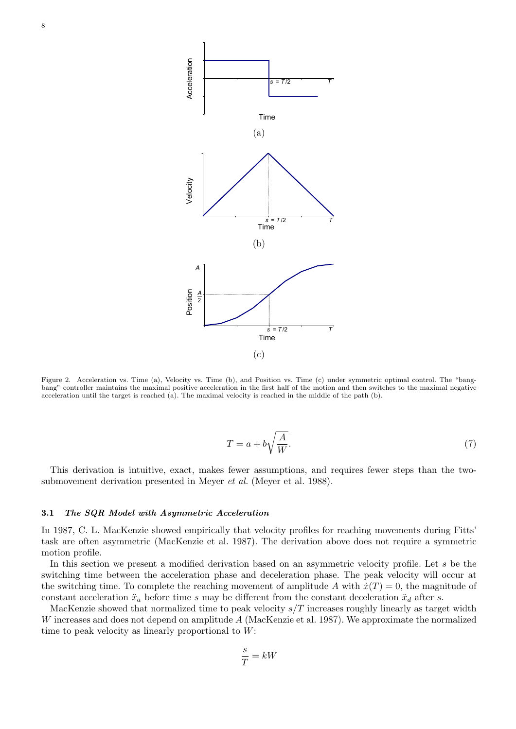

Figure 2. Acceleration vs. Time (a), Velocity vs. Time (b), and Position vs. Time (c) under symmetric optimal control. The "bangbang" controller maintains the maximal positive acceleration in the first half of the motion and then switches to the maximal negative acceleration until the target is reached (a). The maximal velocity is reached in the middle of the path (b).

$$
T = a + b\sqrt{\frac{A}{W}}.\tag{7}
$$

This derivation is intuitive, exact, makes fewer assumptions, and requires fewer steps than the twosubmovement derivation presented in Meyer *et al.* (Meyer et al. 1988).

#### 3.1 The SQR Model with Asymmetric Acceleration

In 1987, C. L. MacKenzie showed empirically that velocity profiles for reaching movements during Fitts' task are often asymmetric (MacKenzie et al. 1987). The derivation above does not require a symmetric motion profile.

In this section we present a modified derivation based on an asymmetric velocity profile. Let s be the switching time between the acceleration phase and deceleration phase. The peak velocity will occur at the switching time. To complete the reaching movement of amplitude A with  $\dot{x}(T) = 0$ , the magnitude of constant acceleration  $\ddot{x}_a$  before time s may be different from the constant deceleration  $\ddot{x}_d$  after s.

MacKenzie showed that normalized time to peak velocity  $s/T$  increases roughly linearly as target width W increases and does not depend on amplitude A (MacKenzie et al. 1987). We approximate the normalized time to peak velocity as linearly proportional to W:

$$
\frac{s}{T} = kW
$$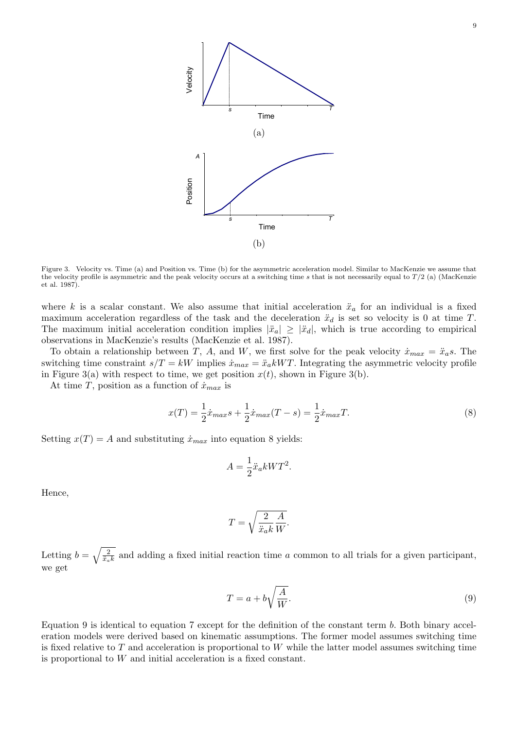

Figure 3. Velocity vs. Time (a) and Position vs. Time (b) for the asymmetric acceleration model. Similar to MacKenzie we assume that the velocity profile is asymmetric and the peak velocity occurs at a switching time s that is not necessarily equal to  $T/2$  (a) (MacKenzie et al. 1987).

where k is a scalar constant. We also assume that initial acceleration  $\ddot{x}_a$  for an individual is a fixed maximum acceleration regardless of the task and the deceleration  $\ddot{x}_d$  is set so velocity is 0 at time T. The maximum initial acceleration condition implies  $|\ddot{x}_a| \geq |\ddot{x}_d|$ , which is true according to empirical observations in MacKenzie's results (MacKenzie et al. 1987).

To obtain a relationship between T, A, and W, we first solve for the peak velocity  $\dot{x}_{max} = \ddot{x}_a s$ . The switching time constraint  $s/T = kW$  implies  $\dot{x}_{max} = \ddot{x}_a kWT$ . Integrating the asymmetric velocity profile in Figure 3(a) with respect to time, we get position  $x(t)$ , shown in Figure 3(b).

At time T, position as a function of  $\dot{x}_{max}$  is

$$
x(T) = \frac{1}{2}\dot{x}_{max}s + \frac{1}{2}\dot{x}_{max}(T - s) = \frac{1}{2}\dot{x}_{max}T.
$$
\n(8)

Setting  $x(T) = A$  and substituting  $\dot{x}_{max}$  into equation 8 yields:

$$
A = \frac{1}{2}\ddot{x}_a kWT^2.
$$

Hence,

$$
T = \sqrt{\frac{2}{\ddot{x}_{a}k}\frac{A}{W}}.
$$

Letting  $b = \sqrt{\frac{2}{\ddot{x}_a k}}$  and adding a fixed initial reaction time a common to all trials for a given participant, we get

$$
T = a + b\sqrt{\frac{A}{W}}.\t\t(9)
$$

Equation 9 is identical to equation 7 except for the definition of the constant term  $b$ . Both binary acceleration models were derived based on kinematic assumptions. The former model assumes switching time is fixed relative to  $T$  and acceleration is proportional to  $W$  while the latter model assumes switching time is proportional to W and initial acceleration is a fixed constant.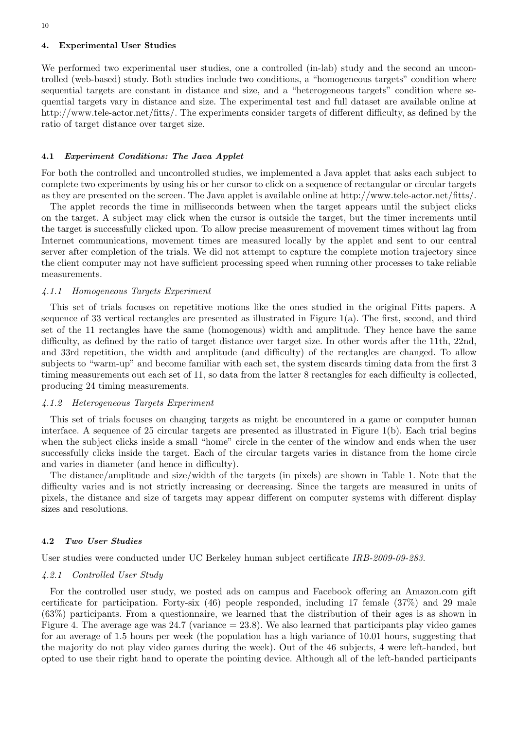#### 4. Experimental User Studies

We performed two experimental user studies, one a controlled (in-lab) study and the second an uncontrolled (web-based) study. Both studies include two conditions, a "homogeneous targets" condition where sequential targets are constant in distance and size, and a "heterogeneous targets" condition where sequential targets vary in distance and size. The experimental test and full dataset are available online at http://www.tele-actor.net/fitts/. The experiments consider targets of different difficulty, as defined by the ratio of target distance over target size.

#### 4.1 Experiment Conditions: The Java Applet

For both the controlled and uncontrolled studies, we implemented a Java applet that asks each subject to complete two experiments by using his or her cursor to click on a sequence of rectangular or circular targets as they are presented on the screen. The Java applet is available online at http://www.tele-actor.net/fitts/.

The applet records the time in milliseconds between when the target appears until the subject clicks on the target. A subject may click when the cursor is outside the target, but the timer increments until the target is successfully clicked upon. To allow precise measurement of movement times without lag from Internet communications, movement times are measured locally by the applet and sent to our central server after completion of the trials. We did not attempt to capture the complete motion trajectory since the client computer may not have sufficient processing speed when running other processes to take reliable measurements.

#### 4.1.1 Homogeneous Targets Experiment

This set of trials focuses on repetitive motions like the ones studied in the original Fitts papers. A sequence of 33 vertical rectangles are presented as illustrated in Figure  $1(a)$ . The first, second, and third set of the 11 rectangles have the same (homogenous) width and amplitude. They hence have the same difficulty, as defined by the ratio of target distance over target size. In other words after the 11th, 22nd, and 33rd repetition, the width and amplitude (and difficulty) of the rectangles are changed. To allow subjects to "warm-up" and become familiar with each set, the system discards timing data from the first 3 timing measurements out each set of 11, so data from the latter 8 rectangles for each difficulty is collected, producing 24 timing measurements.

#### 4.1.2 Heterogeneous Targets Experiment

This set of trials focuses on changing targets as might be encountered in a game or computer human interface. A sequence of 25 circular targets are presented as illustrated in Figure 1(b). Each trial begins when the subject clicks inside a small "home" circle in the center of the window and ends when the user successfully clicks inside the target. Each of the circular targets varies in distance from the home circle and varies in diameter (and hence in difficulty).

The distance/amplitude and size/width of the targets (in pixels) are shown in Table 1. Note that the difficulty varies and is not strictly increasing or decreasing. Since the targets are measured in units of pixels, the distance and size of targets may appear different on computer systems with different display sizes and resolutions.

#### 4.2 Two User Studies

User studies were conducted under UC Berkeley human subject certificate IRB-2009-09-283.

#### 4.2.1 Controlled User Study

For the controlled user study, we posted ads on campus and Facebook offering an Amazon.com gift certificate for participation. Forty-six  $(46)$  people responded, including 17 female  $(37%)$  and 29 male (63%) participants. From a questionnaire, we learned that the distribution of their ages is as shown in Figure 4. The average age was  $24.7$  (variance  $= 23.8$ ). We also learned that participants play video games for an average of 1.5 hours per week (the population has a high variance of 10.01 hours, suggesting that the majority do not play video games during the week). Out of the 46 subjects, 4 were left-handed, but opted to use their right hand to operate the pointing device. Although all of the left-handed participants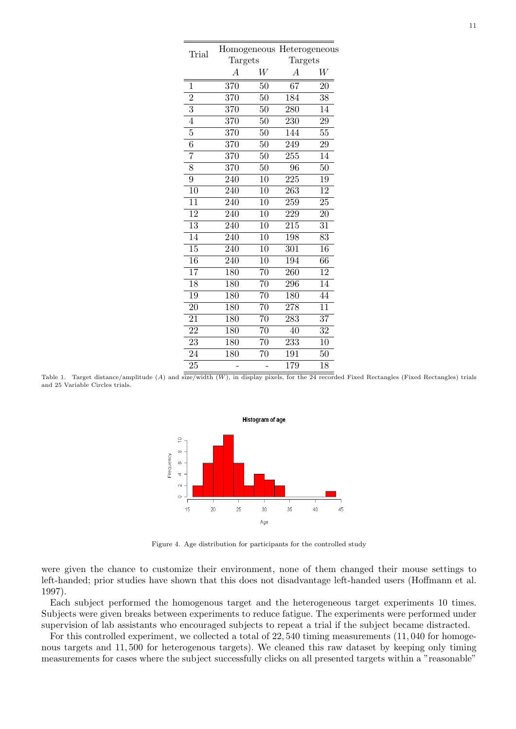| Trial           |                  |                 | Homogeneous Heterogeneous |                 |  |  |
|-----------------|------------------|-----------------|---------------------------|-----------------|--|--|
|                 | Targets          |                 | Targets                   |                 |  |  |
|                 | $\overline{A}$   | $\overline{W}$  | А                         | W               |  |  |
| 1               | 370              | 50              | 67                        | 20              |  |  |
| $\overline{2}$  | 370              | 50              | 184                       | 38              |  |  |
| $\overline{3}$  | 370              | 50              | 280                       | 14              |  |  |
| $\overline{4}$  | 370              | 50              | 230                       | 29              |  |  |
| 5               | 370              | 50              | 144                       | 55              |  |  |
| $\overline{6}$  | 370              | 50              | 249                       | 29              |  |  |
| $\overline{7}$  | 370              | 50              | 255                       | $1\overline{4}$ |  |  |
| 8               | 370              | 50              | 96                        | 50              |  |  |
| 9               | 240              | 10              | 225                       | 19              |  |  |
| 10              | 240              | $\overline{10}$ | 263                       | 12              |  |  |
| $\overline{11}$ | 240              | 10              | 259                       | 25              |  |  |
| $\overline{12}$ | 240              | 10              | 229                       | 20              |  |  |
| $\overline{13}$ | 240              | 10              | 215                       | 31              |  |  |
| 14              | 240              | 10              | 198                       | 83              |  |  |
| $\overline{15}$ | 240              | 10              | $\overline{301}$          | 16              |  |  |
| $\overline{16}$ | $\overline{240}$ | 10              | 194                       | 66              |  |  |
| $\overline{17}$ | 180              | $\overline{70}$ | $\overline{260}$          | $\overline{12}$ |  |  |
| 18              | 180              | $\overline{70}$ | 296                       | 14              |  |  |
| 19              | 180              | $\overline{70}$ | 180                       | 44              |  |  |
| $\overline{20}$ | 180              | $\overline{70}$ | $\overline{278}$          | $\overline{11}$ |  |  |
| 21              | $\overline{180}$ | $\overline{70}$ | 283                       | $\overline{37}$ |  |  |
| 22              | 180              | 70              | 40                        | $\overline{32}$ |  |  |
| $\overline{23}$ | $\overline{180}$ | $\overline{70}$ | $\overline{233}$          | $\overline{10}$ |  |  |
| 24              | 180              | 70              | 191                       | 50              |  |  |
| 25              |                  |                 | 179                       | 18              |  |  |

Table 1. Target distance/amplitude  $(A)$  and size/width  $(W)$ , in display pixels, for the 24 recorded Fixed Rectangles (Fixed Rectangles) trials and 25 Variable Circles trials.



Figure 4. Age distribution for participants for the controlled study

were given the chance to customize their environment, none of them changed their mouse settings to left-handed; prior studies have shown that this does not disadvantage left-handed users (Hoffmann et al. 1997).

Each subject performed the homogenous target and the heterogeneous target experiments 10 times. Subjects were given breaks between experiments to reduce fatigue. The experiments were performed under supervision of lab assistants who encouraged subjects to repeat a trial if the subject became distracted.

For this controlled experiment, we collected a total of 22, 540 timing measurements (11, 040 for homogenous targets and 11, 500 for heterogenous targets). We cleaned this raw dataset by keeping only timing measurements for cases where the subject successfully clicks on all presented targets within a "reasonable"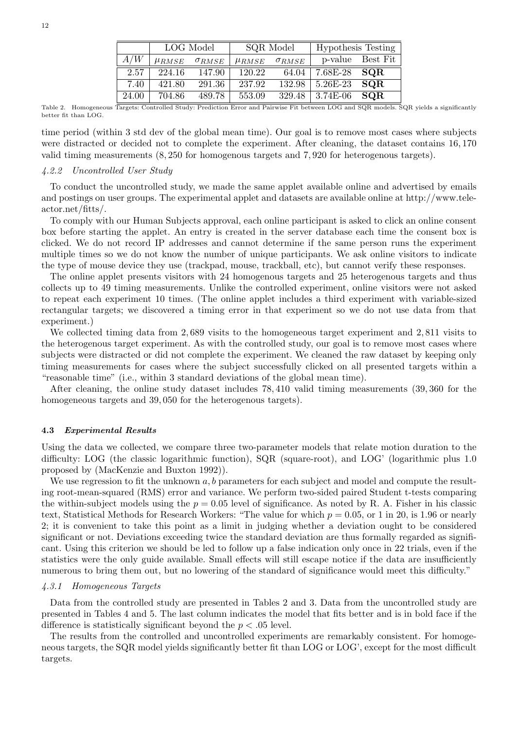|       | LOG Model             |                 | SQR Model             |                 | <b>Hypothesis Testing</b> |          |
|-------|-----------------------|-----------------|-----------------------|-----------------|---------------------------|----------|
| A/W   | $\mu$ <sub>RMSE</sub> | $\sigma_{RMSE}$ | $\mu$ <sub>RMSE</sub> | $\sigma_{RMSE}$ | p-value                   | Best Fit |
| 2.57  | 224.16                | 147.90          | 120.22                | 64.04           | 7.68E-28                  | SQR      |
| 7.40  | 421.80                | 291.36          | 237.92                | 132.98          | 5.26E-23                  | SQR      |
| 24.00 | 704.86                | 489.78          | 553.09                | 329.48          | $3.74E-06$                | SQR      |

Table 2. Homogeneous Targets: Controlled Study: Prediction Error and Pairwise Fit between LOG and SQR models. SQR yields a significantly better fit than LOG.

time period (within 3 std dev of the global mean time). Our goal is to remove most cases where subjects were distracted or decided not to complete the experiment. After cleaning, the dataset contains 16, 170 valid timing measurements (8, 250 for homogenous targets and 7, 920 for heterogenous targets).

# 4.2.2 Uncontrolled User Study

To conduct the uncontrolled study, we made the same applet available online and advertised by emails and postings on user groups. The experimental applet and datasets are available online at http://www.teleactor.net/fitts/.

To comply with our Human Subjects approval, each online participant is asked to click an online consent box before starting the applet. An entry is created in the server database each time the consent box is clicked. We do not record IP addresses and cannot determine if the same person runs the experiment multiple times so we do not know the number of unique participants. We ask online visitors to indicate the type of mouse device they use (trackpad, mouse, trackball, etc), but cannot verify these responses.

The online applet presents visitors with 24 homogenous targets and 25 heterogenous targets and thus collects up to 49 timing measurements. Unlike the controlled experiment, online visitors were not asked to repeat each experiment 10 times. (The online applet includes a third experiment with variable-sized rectangular targets; we discovered a timing error in that experiment so we do not use data from that experiment.)

We collected timing data from 2,689 visits to the homogeneous target experiment and 2,811 visits to the heterogenous target experiment. As with the controlled study, our goal is to remove most cases where subjects were distracted or did not complete the experiment. We cleaned the raw dataset by keeping only timing measurements for cases where the subject successfully clicked on all presented targets within a "reasonable time" (i.e., within 3 standard deviations of the global mean time).

After cleaning, the online study dataset includes 78, 410 valid timing measurements (39, 360 for the homogeneous targets and 39,050 for the heterogenous targets).

#### 4.3 Experimental Results

Using the data we collected, we compare three two-parameter models that relate motion duration to the difficulty: LOG (the classic logarithmic function), SQR (square-root), and LOG' (logarithmic plus 1.0 proposed by (MacKenzie and Buxton 1992)).

We use regression to fit the unknown  $a, b$  parameters for each subject and model and compute the resulting root-mean-squared (RMS) error and variance. We perform two-sided paired Student t-tests comparing the within-subject models using the  $p = 0.05$  level of significance. As noted by R. A. Fisher in his classic text, Statistical Methods for Research Workers: "The value for which  $p = 0.05$ , or 1 in 20, is 1.96 or nearly 2; it is convenient to take this point as a limit in judging whether a deviation ought to be considered significant or not. Deviations exceeding twice the standard deviation are thus formally regarded as significant. Using this criterion we should be led to follow up a false indication only once in 22 trials, even if the statistics were the only guide available. Small effects will still escape notice if the data are insufficiently numerous to bring them out, but no lowering of the standard of significance would meet this difficulty."

#### 4.3.1 Homogeneous Targets

Data from the controlled study are presented in Tables 2 and 3. Data from the uncontrolled study are presented in Tables 4 and 5. The last column indicates the model that fits better and is in bold face if the difference is statistically significant beyond the  $p < .05$  level.

The results from the controlled and uncontrolled experiments are remarkably consistent. For homogeneous targets, the SQR model yields significantly better fit than LOG or LOG', except for the most difficult targets.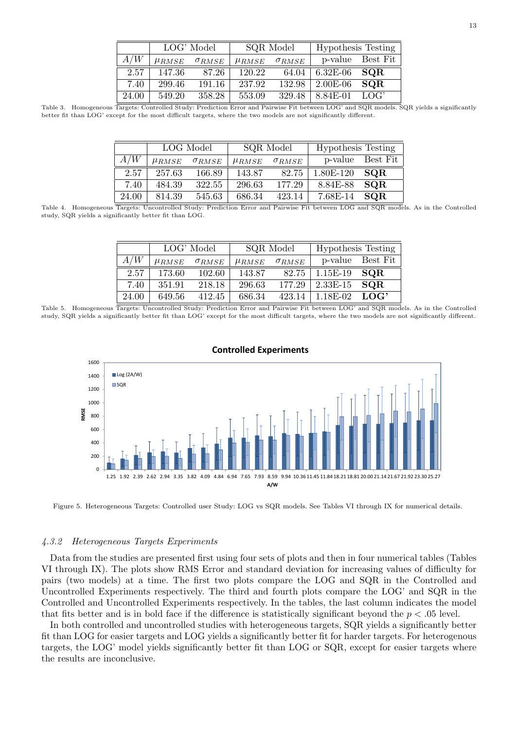|                  | LOG' Model            |                 | SQR Model             |                 | <b>Hypothesis Testing</b> |            |
|------------------|-----------------------|-----------------|-----------------------|-----------------|---------------------------|------------|
| $\overline{A}/W$ | $\mu$ <sub>RMSE</sub> | $\sigma_{RMSE}$ | $\mu$ <sub>RMSE</sub> | $\sigma_{RMSE}$ | p-value                   | Best Fit   |
| 2.57             | 147.36                | 87.26           | 120.22                | 64.04           | $6.32E-06$                | <b>SQR</b> |
| 7.40             | 299.46                | 191.16          | 237.92                | 132.98          | $2.00E-06$                | SQR        |
| 24.00            | 549.20                | 358.28          | 553.09                | 329.48          | 8.84E-01                  | LOG'       |

Table 3. Homogeneous Targets: Controlled Study: Prediction Error and Pairwise Fit between LOG' and SQR models. SQR yields a significantly better fit than LOG' except for the most difficult targets, where the two models are not significantly different.

|       | LOG Model             |                 | SQR Model             |                 | <b>Hypothesis Testing</b> |            |
|-------|-----------------------|-----------------|-----------------------|-----------------|---------------------------|------------|
| A/W   | $\mu$ <sub>RMSE</sub> | $\sigma_{RMSE}$ | $\mu$ <sub>RMSE</sub> | $\sigma_{RMSE}$ | p-value                   | Best Fit   |
| 2.57  | 257.63                | 166.89          | 143.87                | 82.75           | 1.80E-120                 | <b>SQR</b> |
| 7.40  | 484.39                | 322.55          | 296.63                | 177.29          | 8.84E-88                  | SQR        |
| 24.00 | 814.39                | 545.63          | 686.34                | 423.14          | 7.68E-14                  | SQR        |

Table 4. Homogeneous Targets: Uncontrolled Study: Prediction Error and Pairwise Fit between LOG and SQR models. As in the Controlled study, SQR yields a significantly better fit than LOG.

|       | LOG' Model            |                 | SQR Model             |                 | <b>Hypothesis Testing</b> |          |
|-------|-----------------------|-----------------|-----------------------|-----------------|---------------------------|----------|
| A/W   | $\mu$ <sub>RMSE</sub> | $\sigma_{RMSE}$ | $\mu$ <sub>RMSE</sub> | $\sigma_{RMSE}$ | p-value                   | Best Fit |
| 2.57  | 173.60                | 102.60          | 143.87                | 82.75           | 1.15E-19                  | SQR      |
| 7.40  | 351.91                | 218.18          | 296.63                | 177.29          | $2.33E-15$                | SQR      |
| 24.00 | 649.56                | 412.45          | 686.34                | 423.14          | 1.18E-02                  | LOG'     |

Table 5. Homogeneous Targets: Uncontrolled Study: Prediction Error and Pairwise Fit between LOG' and SQR models. As in the Controlled study, SQR yields a significantly better fit than LOG' except for the most difficult targets, where the two models are not significantly different.



# **Controlled Experiments**

Figure 5. Heterogeneous Targets: Controlled user Study: LOG vs SQR models. See Tables VI through IX for numerical details.

# 4.3.2 Heterogeneous Targets Experiments

Data from the studies are presented first using four sets of plots and then in four numerical tables (Tables VI through IX). The plots show RMS Error and standard deviation for increasing values of difficulty for pairs (two models) at a time. The first two plots compare the LOG and SQR in the Controlled and Uncontrolled Experiments respectively. The third and fourth plots compare the LOG' and SQR in the Controlled and Uncontrolled Experiments respectively. In the tables, the last column indicates the model that fits better and is in bold face if the difference is statistically significant beyond the  $p < .05$  level.

In both controlled and uncontrolled studies with heterogeneous targets, SQR yields a significantly better fit than LOG for easier targets and LOG yields a significantly better fit for harder targets. For heterogenous targets, the LOG' model yields significantly better fit than LOG or SQR, except for easier targets where the results are inconclusive.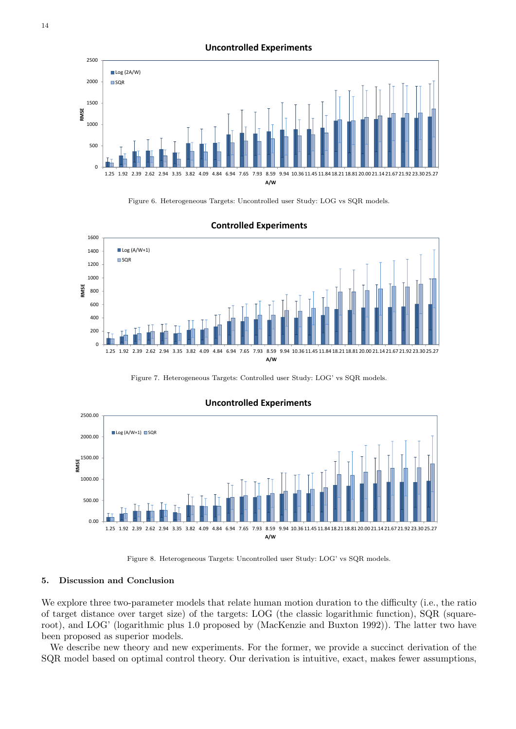**Uncontrolled Experiments**







#### **Controlled Experiments**

Figure 7. Heterogeneous Targets: Controlled user Study: LOG' vs SQR models.



Figure 8. Heterogeneous Targets: Uncontrolled user Study: LOG' vs SQR models.

#### 5. Discussion and Conclusion

We explore three two-parameter models that relate human motion duration to the difficulty (i.e., the ratio of target distance over target size) of the targets: LOG (the classic logarithmic function), SQR (squareroot), and LOG' (logarithmic plus 1.0 proposed by (MacKenzie and Buxton 1992)). The latter two have been proposed as superior models.

We describe new theory and new experiments. For the former, we provide a succinct derivation of the SQR model based on optimal control theory. Our derivation is intuitive, exact, makes fewer assumptions,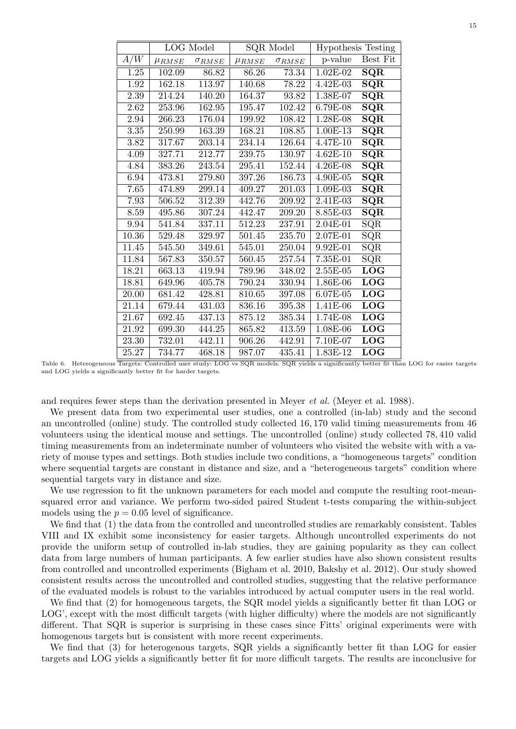|       |              | <b>LOG</b> Model |              | SQR Model       |              | <b>Hypothesis Testing</b> |  |
|-------|--------------|------------------|--------------|-----------------|--------------|---------------------------|--|
| A/W   | $\mu_{RMSE}$ | $\sigma_{RMSE}$  | $\mu_{RMSE}$ | $\sigma_{RMSE}$ | p-value      | Best Fit                  |  |
| 1.25  | 102.09       | 86.82            | 86.26        | 73.34           | $1.02E-02$   | SQR                       |  |
| 1.92  | 162.18       | 113.97           | 140.68       | 78.22           | 4.42E-03     | SQR                       |  |
| 2.39  | 214.24       | 140.20           | 164.37       | 93.82           | $1.38E-07$   | $\overline{\text{SQR}}$   |  |
| 2.62  | 253.96       | 162.95           | 195.47       | 102.42          | 6.79E-08     | $\overline{\text{SQR}}$   |  |
| 2.94  | 266.23       | 176.04           | 199.92       | 108.42          | $1.28E-08$   | $\overline{\text{SQR}}$   |  |
| 3.35  | 250.99       | 163.39           | 168.21       | 108.85          | 1.00E-13     | $\overline{\text{SQR}}$   |  |
| 3.82  | 317.67       | 203.14           | 234.14       | 126.64          | 4.47E-10     | $\overline{\text{SQR}}$   |  |
| 4.09  | 327.71       | 212.77           | 239.75       | 130.97          | $4.62E - 10$ | $\overline{\text{SQR}}$   |  |
| 4.84  | 383.26       | 243.54           | 295.41       | 152.44          | 4.26E-08     | $\overline{\text{SQR}}$   |  |
| 6.94  | 473.81       | 279.80           | 397.26       | 186.73          | 4.90E-05     | $\overline{\text{SQR}}$   |  |
| 7.65  | 474.89       | 299.14           | 409.27       | 201.03          | 1.09E-03     | $\overline{\text{SQR}}$   |  |
| 7.93  | 506.52       | 312.39           | 442.76       | 209.92          | 2.41E-03     | $\overline{\text{SQR}}$   |  |
| 8.59  | 495.86       | 307.24           | 442.47       | 209.20          | 8.85E-03     | $\overline{\text{SQR}}$   |  |
| 9.94  | 541.84       | 337.11           | 512.23       | 237.91          | 2.04E-01     | $\overline{\text{SQR}}$   |  |
| 10.36 | 529.48       | 329.97           | 501.45       | 235.70          | $2.07E-01$   | $\overline{\text{SQR}}$   |  |
| 11.45 | 545.50       | 349.61           | 545.01       | 250.04          | 9.92E-01     | SQR                       |  |
| 11.84 | 567.83       | 350.57           | 560.45       | 257.54          | 7.35E-01     | SQR                       |  |
| 18.21 | 663.13       | 419.94           | 789.96       | 348.02          | 2.55E-05     | <b>LOG</b>                |  |
| 18.81 | 649.96       | 405.78           | 790.24       | 330.94          | 1.86E-06     | $\overline{\text{LOG}}$   |  |
| 20.00 | 681.42       | 428.81           | 810.65       | 397.08          | 6.07E-05     | $\overline{\text{LOG}}$   |  |
| 21.14 | 679.44       | 431.03           | 836.16       | 395.38          | 1.41E-06     | LOG                       |  |
| 21.67 | 692.45       | 437.13           | 875.12       | 385.34          | 1.74E-08     | LOG                       |  |
| 21.92 | 699.30       | 444.25           | 865.82       | 413.59          | 1.08E-06     | LOG                       |  |
| 23.30 | 732.01       | 442.11           | 906.26       | 442.91          | 7.10E-07     | $\overline{\text{LOG}}$   |  |
| 25.27 | 734.77       | 468.18           | 987.07       | 435.41          | 1.83E-12     | <b>LOG</b>                |  |

Table 6. Heterogeneous Targets: Controlled user study: LOG vs SQR models. SQR yields a significantly better fit than LOG for easier targets and LOG yields a significantly better fit for harder targets.

and requires fewer steps than the derivation presented in Meyer et al. (Meyer et al. 1988).

We present data from two experimental user studies, one a controlled (in-lab) study and the second an uncontrolled (online) study. The controlled study collected 16, 170 valid timing measurements from 46 volunteers using the identical mouse and settings. The uncontrolled (online) study collected 78, 410 valid timing measurements from an indeterminate number of volunteers who visited the website with with a variety of mouse types and settings. Both studies include two conditions, a "homogeneous targets" condition where sequential targets are constant in distance and size, and a "heterogeneous targets" condition where sequential targets vary in distance and size.

We use regression to fit the unknown parameters for each model and compute the resulting root-meansquared error and variance. We perform two-sided paired Student t-tests comparing the within-subject models using the  $p = 0.05$  level of significance.

We find that (1) the data from the controlled and uncontrolled studies are remarkably consistent. Tables VIII and IX exhibit some inconsistency for easier targets. Although uncontrolled experiments do not provide the uniform setup of controlled in-lab studies, they are gaining popularity as they can collect data from large numbers of human participants. A few earlier studies have also shown consistent results from controlled and uncontrolled experiments (Bigham et al. 2010, Bakshy et al. 2012). Our study showed consistent results across the uncontrolled and controlled studies, suggesting that the relative performance of the evaluated models is robust to the variables introduced by actual computer users in the real world.

We find that (2) for homogeneous targets, the SQR model yields a significantly better fit than LOG or LOG', except with the most difficult targets (with higher difficulty) where the models are not significantly different. That SQR is superior is surprising in these cases since Fitts' original experiments were with homogenous targets but is consistent with more recent experiments.

We find that (3) for heterogenous targets, SQR yields a significantly better fit than LOG for easier targets and LOG yields a significantly better fit for more difficult targets. The results are inconclusive for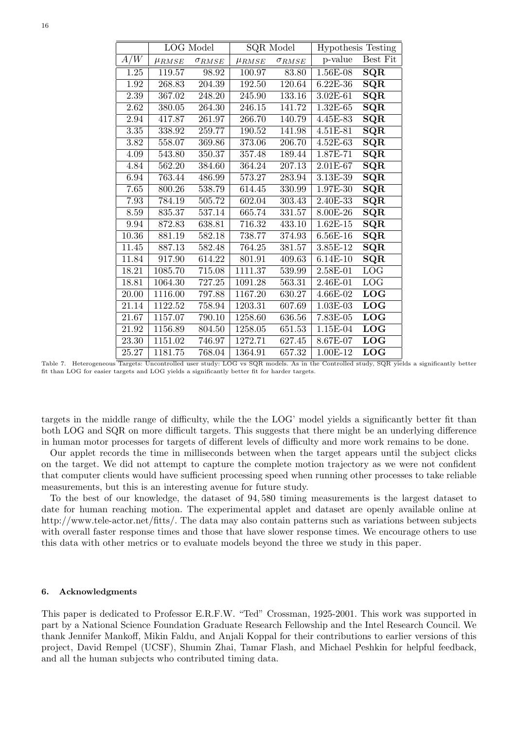|                   | <b>LOG</b> Model      |                 | <b>SQR</b> Model      |                 | <b>Hypothesis Testing</b> |                         |
|-------------------|-----------------------|-----------------|-----------------------|-----------------|---------------------------|-------------------------|
| A/W               | $\mu$ <sub>RMSE</sub> | $\sigma_{RMSE}$ | $\mu$ <sub>RMSE</sub> | $\sigma_{RMSE}$ | p-value                   | Best Fit                |
| 1.25              | 119.57                | 98.92           | 100.97                | 83.80           | 1.56E-08                  | SQR                     |
| 1.92              | 268.83                | 204.39          | 192.50                | 120.64          | 6.22E-36                  | $\overline{\text{SQR}}$ |
| $\overline{2.39}$ | 367.02                | 248.20          | 245.90                | 133.16          | $3.02E - 61$              | $\overline{\text{SQR}}$ |
| 2.62              | 380.05                | 264.30          | 246.15                | 141.72          | $1.32E-65$                | SQR                     |
| 2.94              | 417.87                | 261.97          | 266.70                | 140.79          | 4.45E-83                  | $\overline{\text{SQR}}$ |
| $3.35\,$          | 338.92                | 259.77          | 190.52                | 141.98          | 4.51E-81                  | $\overline{\text{SQR}}$ |
| 3.82              | 558.07                | 369.86          | 373.06                | 206.70          | $4.52E-63$                | $\overline{\text{SQR}}$ |
| 4.09              | 543.80                | 350.37          | 357.48                | 189.44          | 1.87E-71                  | $\overline{\text{SQR}}$ |
| 4.84              | 562.20                | 384.60          | 364.24                | 207.13          | 2.01E-67                  | $\overline{\text{SQR}}$ |
| 6.94              | 763.44                | 486.99          | 573.27                | 283.94          | 3.13E-39                  | $\overline{\text{SQR}}$ |
| 7.65              | 800.26                | 538.79          | 614.45                | 330.99          | 1.97E-30                  | $\overline{\text{SQR}}$ |
| 7.93              | 784.19                | 505.72          | 602.04                | 303.43          | 2.40E-33                  | $\overline{\text{SQR}}$ |
| 8.59              | 835.37                | 537.14          | 665.74                | 331.57          | 8.00E-26                  | SQR                     |
| 9.94              | 872.83                | 638.81          | 716.32                | 433.10          | $1.62E-15$                | $\overline{\text{SQR}}$ |
| 10.36             | 881.19                | 582.18          | 738.77                | 374.93          | 6.56E-16                  | $\overline{\text{SQR}}$ |
| 11.45             | 887.13                | 582.48          | 764.25                | 381.57          | 3.85E-12                  | $\overline{\text{SQR}}$ |
| 11.84             | 917.90                | 614.22          | 801.91                | 409.63          | 6.14E-10                  | $\overline{\text{SQR}}$ |
| 18.21             | 1085.70               | 715.08          | 1111.37               | 539.99          | $2.58E-01$                | LOG                     |
| 18.81             | 1064.30               | 727.25          | 1091.28               | 563.31          | 2.46E-01                  | $\overline{\text{LOG}}$ |
| 20.00             | 1116.00               | 797.88          | 1167.20               | 630.27          | 4.66E-02                  | $\overline{\text{LOG}}$ |
| 21.14             | 1122.52               | 758.94          | 1203.31               | 607.69          | 1.03E-03                  | <b>LOG</b>              |
| 21.67             | 1157.07               | 790.10          | 1258.60               | 636.56          | 7.83E-05                  | LOG                     |
| $21.92\,$         | 1156.89               | 804.50          | 1258.05               | 651.53          | 1.15E-04                  | LOG                     |
| 23.30             | 1151.02               | 746.97          | 1272.71               | 627.45          | 8.67E-07                  | LOG                     |
| 25.27             | 1181.75               | 768.04          | 1364.91               | 657.32          | 1.00E-12                  | $\overline{\text{LOG}}$ |

Table 7. Heterogeneous Targets: Uncontrolled user study: LOG vs SQR models. As in the Controlled study, SQR yields a significantly better fit than LOG for easier targets and LOG yields a significantly better fit for harder targets.

targets in the middle range of difficulty, while the the LOG' model yields a significantly better fit than both LOG and SQR on more difficult targets. This suggests that there might be an underlying difference in human motor processes for targets of different levels of difficulty and more work remains to be done.

Our applet records the time in milliseconds between when the target appears until the subject clicks on the target. We did not attempt to capture the complete motion trajectory as we were not confident that computer clients would have sufficient processing speed when running other processes to take reliable measurements, but this is an interesting avenue for future study.

To the best of our knowledge, the dataset of 94, 580 timing measurements is the largest dataset to date for human reaching motion. The experimental applet and dataset are openly available online at http://www.tele-actor.net/fitts/. The data may also contain patterns such as variations between subjects with overall faster response times and those that have slower response times. We encourage others to use this data with other metrics or to evaluate models beyond the three we study in this paper.

# 6. Acknowledgments

This paper is dedicated to Professor E.R.F.W. "Ted" Crossman, 1925-2001. This work was supported in part by a National Science Foundation Graduate Research Fellowship and the Intel Research Council. We thank Jennifer Mankoff, Mikin Faldu, and Anjali Koppal for their contributions to earlier versions of this project, David Rempel (UCSF), Shumin Zhai, Tamar Flash, and Michael Peshkin for helpful feedback, and all the human subjects who contributed timing data.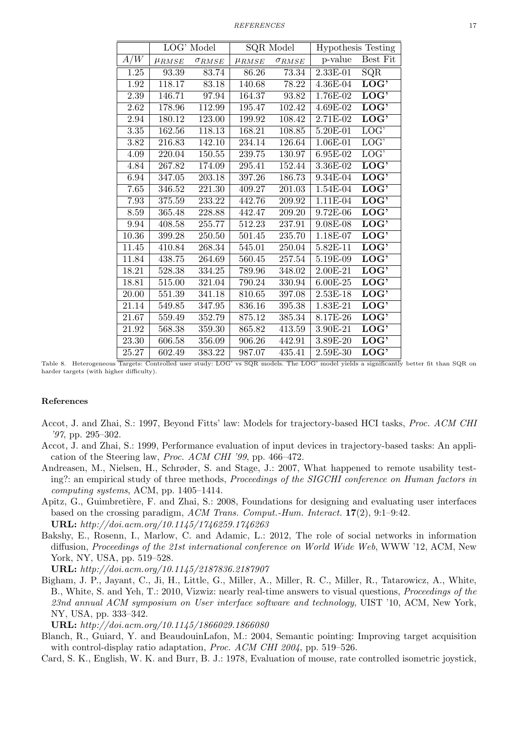|          |                       | LOG' Model      | <b>SQR</b> Model |                 | <b>Hypothesis Testing</b> |                           |
|----------|-----------------------|-----------------|------------------|-----------------|---------------------------|---------------------------|
| A/W      | $\mu$ <sub>RMSE</sub> | $\sigma_{RMSE}$ | $\mu_{RMSE}$     | $\sigma_{RMSE}$ | p-value                   | Best Fit                  |
| 1.25     | 93.39                 | 83.74           | 86.26            | 73.34           | 2.33E-01                  | SQR                       |
| 1.92     | 118.17                | 83.18           | 140.68           | 78.22           | 4.36E-04                  | $\overline{\text{LOG'} }$ |
| 2.39     | 146.71                | 97.94           | 164.37           | 93.82           | 1.76E-02                  | LOG <sub>2</sub>          |
| 2.62     | 178.96                | 112.99          | 195.47           | 102.42          | 4.69E-02                  | LOG'                      |
| 2.94     | 180.12                | 123.00          | 199.92           | 108.42          | $2.71E-02$                | LOG <sub>2</sub>          |
| $3.35\,$ | 162.56                | 118.13          | 168.21           | 108.85          | 5.20E-01                  | LOG <sub>2</sub>          |
| 3.82     | 216.83                | 142.10          | 234.14           | 126.64          | 1.06E-01                  | LOG <sub>2</sub>          |
| 4.09     | 220.04                | 150.55          | 239.75           | 130.97          | 6.95E-02                  | $\overline{\text{LOG'}}$  |
| 4.84     | 267.82                | 174.09          | 295.41           | 152.44          | 3.36E-02                  | $\overline{\text{LOG'}}$  |
| 6.94     | 347.05                | 203.18          | 397.26           | 186.73          | 9.34E-04                  | LOG <sub>2</sub>          |
| 7.65     | 346.52                | 221.30          | 409.27           | 201.03          | 1.54E-04                  | $\overline{\text{LOG}}$   |
| 7.93     | 375.59                | 233.22          | 442.76           | 209.92          | $1.11E-04$                | LOG <sub>2</sub>          |
| 8.59     | 365.48                | 228.88          | 442.47           | 209.20          | 9.72E-06                  | LOG <sub>2</sub>          |
| 9.94     | 408.58                | 255.77          | 512.23           | 237.91          | $9.08E-08$                | LOG <sub>2</sub>          |
| 10.36    | 399.28                | 250.50          | 501.45           | 235.70          | 1.18E-07                  | LOG <sub>2</sub>          |
| 11.45    | 410.84                | 268.34          | 545.01           | 250.04          | $5.82E-11$                | LOG <sup>2</sup>          |
| 11.84    | 438.75                | 264.69          | 560.45           | 257.54          | 5.19E-09                  | LOG'                      |
| 18.21    | 528.38                | 334.25          | 789.96           | 348.02          | 2.00E-21                  | LOG <sup>2</sup>          |
| 18.81    | 515.00                | 321.04          | 790.24           | 330.94          | 6.00E-25                  | LOG'                      |
| 20.00    | 551.39                | 341.18          | 810.65           | 397.08          | $2.53E-18$                | LOG <sub>2</sub>          |
| 21.14    | 549.85                | 347.95          | 836.16           | 395.38          | 1.83E-21                  | LOG <sub>2</sub>          |
| 21.67    | 559.49                | 352.79          | 875.12           | 385.34          | 8.17E-26                  | LOG'                      |
| 21.92    | 568.38                | 359.30          | 865.82           | 413.59          | 3.90E-21                  | LOG'                      |
| 23.30    | 606.58                | 356.09          | 906.26           | 442.91          | 3.89E-20                  | LOG'                      |
| 25.27    | 602.49                | 383.22          | 987.07           | 435.41          | 2.59E-30                  | LOG <sub>2</sub>          |

Table 8. Heterogeneous Targets: Controlled user study: LOG' vs SQR models. The LOG' model yields a significantly better fit than SQR on harder targets (with higher difficulty).

# References

- Accot, J. and Zhai, S.: 1997, Beyond Fitts' law: Models for trajectory-based HCI tasks, Proc. ACM CHI '97, pp. 295–302.
- Accot, J. and Zhai, S.: 1999, Performance evaluation of input devices in trajectory-based tasks: An application of the Steering law, Proc. ACM CHI '99, pp. 466–472.
- Andreasen, M., Nielsen, H., Schrøder, S. and Stage, J.: 2007, What happened to remote usability testing?: an empirical study of three methods, *Proceedings of the SIGCHI conference on Human factors in* computing systems, ACM, pp. 1405–1414.
- Apitz, G., Guimbretière, F. and Zhai, S.: 2008, Foundations for designing and evaluating user interfaces based on the crossing paradigm, ACM Trans. Comput.-Hum. Interact. 17(2), 9:1–9:42. URL: http://doi.acm.org/10.1145/1746259.1746263
- Bakshy, E., Rosenn, I., Marlow, C. and Adamic, L.: 2012, The role of social networks in information diffusion, Proceedings of the 21st international conference on World Wide Web, WWW '12, ACM, New York, NY, USA, pp. 519–528.

URL: http://doi.acm.org/10.1145/2187836.2187907

Bigham, J. P., Jayant, C., Ji, H., Little, G., Miller, A., Miller, R. C., Miller, R., Tatarowicz, A., White, B., White, S. and Yeh, T.: 2010, Vizwiz: nearly real-time answers to visual questions, Proceedings of the 23nd annual ACM symposium on User interface software and technology, UIST '10, ACM, New York, NY, USA, pp. 333–342.

URL: http://doi.acm.org/10.1145/1866029.1866080

- Blanch, R., Guiard, Y. and BeaudouinLafon, M.: 2004, Semantic pointing: Improving target acquisition with control-display ratio adaptation, Proc. ACM CHI 2004, pp. 519–526.
- Card, S. K., English, W. K. and Burr, B. J.: 1978, Evaluation of mouse, rate controlled isometric joystick,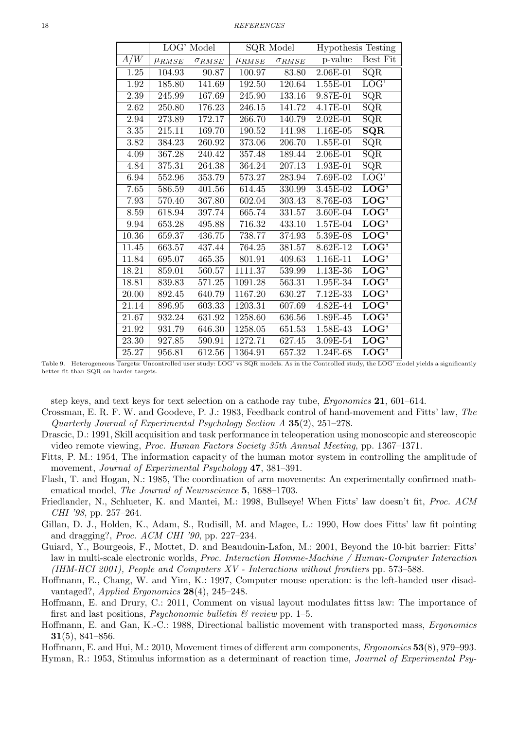#### 18 REFERENCES

|                    | LOG' Model            |                 | SQR Model             |                 | <b>Hypothesis Testing</b> |                          |
|--------------------|-----------------------|-----------------|-----------------------|-----------------|---------------------------|--------------------------|
| A/W                | $\mu$ <sub>RMSE</sub> | $\sigma_{RMSE}$ | $\mu$ <sub>RMSE</sub> | $\sigma_{RMSE}$ | p-value                   | Best Fit                 |
| 1.25               | 104.93                | 90.87           | 100.97                | 83.80           | 2.06E-01                  | SQR                      |
| 1.92               | 185.80                | 141.69          | 192.50                | 120.64          | $1.55E-01$                | LOG <sub>1</sub>         |
| 2.39               | 245.99                | 167.69          | 245.90                | 133.16          | $9.87E-01$                | $\overline{\text{SQR}}$  |
| $2.62\,$           | 250.80                | 176.23          | 246.15                | 141.72          | 4.17E-01                  | SQR                      |
| $\;\:2.94$         | 273.89                | 172.17          | 266.70                | 140.79          | 2.02E-01                  | SQR                      |
| $3.35\,$           | 215.11                | 169.70          | 190.52                | 141.98          | 1.16E-05                  | $\overline{\text{SQR}}$  |
| $3.82\,$           | 384.23                | 260.92          | 373.06                | 206.70          | $1.85E-01$                | $\overline{\text{SQR}}$  |
| 4.09               | 367.28                | 240.42          | 357.48                | 189.44          | 2.06E-01                  | $\overline{\text{SQR}}$  |
| 4.84               | 375.31                | 264.38          | 364.24                | 207.13          | 1.93E-01                  | SQR                      |
| 6.94               | 552.96                | 353.79          | 573.27                | 283.94          | 7.69E-02                  | LOG <sub>2</sub>         |
| 7.65               | 586.59                | 401.56          | 614.45                | 330.99          | 3.45E-02                  | LOG <sub>2</sub>         |
| 7.93               | 570.40                | 367.80          | 602.04                | 303.43          | 8.76E-03                  | LOG <sub>2</sub>         |
| 8.59               | 618.94                | 397.74          | 665.74                | 331.57          | 3.60E-04                  | LOG <sub>2</sub>         |
| 9.94               | 653.28                | 495.88          | 716.32                | 433.10          | 1.57E-04                  | LOG'                     |
| 10.36              | 659.37                | 436.75          | 738.77                | 374.93          | 5.39E-08                  | LOG <sub>2</sub>         |
| 11.45              | 663.57                | 437.44          | 764.25                | 381.57          | 8.62E-12                  | LOG <sup>2</sup>         |
| 11.84              | 695.07                | 465.35          | 801.91                | 409.63          | 1.16E-11                  | LOG <sup>2</sup>         |
| 18.21              | 859.01                | 560.57          | 1111.37               | 539.99          | 1.13E-36                  | $\overline{\text{LOG'}}$ |
| 18.81              | 839.83                | 571.25          | 1091.28               | 563.31          | 1.95E-34                  | LOG <sub>2</sub>         |
| 20.00              | 892.45                | 640.79          | 1167.20               | 630.27          | 7.12E-33                  | $\overline{\text{LOG}}$  |
| 21.14              | 896.95                | 603.33          | 1203.31               | 607.69          | $4.82E - 44$              | LOG <sub>2</sub>         |
| 21.67              | 932.24                | 631.92          | 1258.60               | 636.56          | 1.89E-45                  | LOG <sub>2</sub>         |
| 21.92              | 931.79                | 646.30          | 1258.05               | 651.53          | $1.58E-43$                | LOG <sub>2</sub>         |
| $\overline{23.30}$ | 927.85                | 590.91          | 1272.71               | 627.45          | $3.09E-54$                | LOG <sup>2</sup>         |
| 25.27              | 956.81                | 612.56          | 1364.91               | 657.32          | 1.24E-68                  | $\overline{\text{LOG'}}$ |

Table 9. Heterogeneous Targets: Uncontrolled user study: LOG' vs SQR models. As in the Controlled study, the LOG' model yields a significantly better fit than SQR on harder targets.

step keys, and text keys for text selection on a cathode ray tube, Ergonomics 21, 601–614.

- Crossman, E. R. F. W. and Goodeve, P. J.: 1983, Feedback control of hand-movement and Fitts' law, The Quarterly Journal of Experimental Psychology Section A 35(2), 251–278.
- Drascic, D.: 1991, Skill acquisition and task performance in teleoperation using monoscopic and stereoscopic video remote viewing, Proc. Human Factors Society 35th Annual Meeting, pp. 1367–1371.
- Fitts, P. M.: 1954, The information capacity of the human motor system in controlling the amplitude of movement, *Journal of Experimental Psychology* 47, 381–391.
- Flash, T. and Hogan, N.: 1985, The coordination of arm movements: An experimentally confirmed mathematical model, The Journal of Neuroscience 5, 1688–1703.
- Friedlander, N., Schlueter, K. and Mantei, M.: 1998, Bullseye! When Fitts' law doesn't fit, Proc. ACM CHI '98, pp. 257–264.
- Gillan, D. J., Holden, K., Adam, S., Rudisill, M. and Magee, L.: 1990, How does Fitts' law fit pointing and dragging?, Proc. ACM CHI '90, pp. 227–234.
- Guiard, Y., Bourgeois, F., Mottet, D. and Beaudouin-Lafon, M.: 2001, Beyond the 10-bit barrier: Fitts' law in multi-scale electronic worlds, Proc. Interaction Homme-Machine / Human-Computer Interaction (IHM-HCI 2001), People and Computers XV - Interactions without frontiers pp. 573–588.
- Hoffmann, E., Chang, W. and Yim, K.: 1997, Computer mouse operation: is the left-handed user disadvantaged?, Applied Ergonomics  $28(4)$ ,  $245-248$ .
- Hoffmann, E. and Drury, C.: 2011, Comment on visual layout modulates fittss law: The importance of first and last positions, *Psychonomic bulletin*  $\mathcal{B}$  review pp. 1–5.
- Hoffmann, E. and Gan, K.-C.: 1988, Directional ballistic movement with transported mass, Ergonomics  $31(5)$ , 841–856.
- Hoffmann, E. and Hui, M.: 2010, Movement times of different arm components, Ergonomics 53(8), 979–993.
- Hyman, R.: 1953, Stimulus information as a determinant of reaction time, Journal of Experimental Psy-